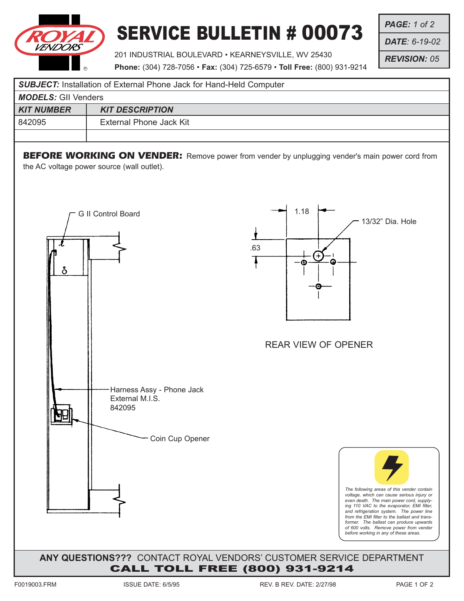

## SERVICE BULLETIN # 00073

201 INDUSTRIAL BOULEVARD • KEARNEYSVILLE, WV 25430

*PAGE: 1 of 2*

*DATE: 6-19-02*

*REVISION: 05*

**Phone:** (304) 728-7056 • **Fax:** (304) 725-6579 • **Toll Free:** (800) 931-9214